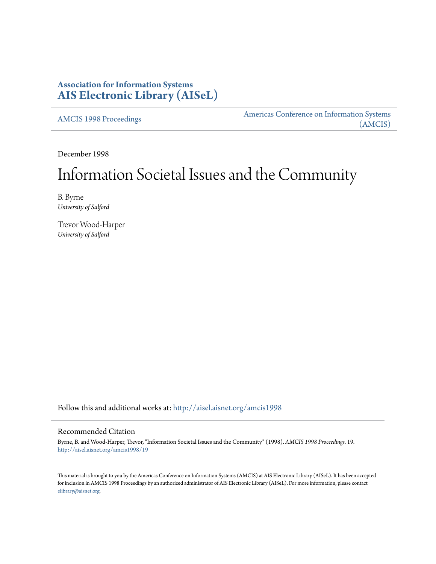# **Association for Information Systems [AIS Electronic Library \(AISeL\)](http://aisel.aisnet.org?utm_source=aisel.aisnet.org%2Famcis1998%2F19&utm_medium=PDF&utm_campaign=PDFCoverPages)**

[AMCIS 1998 Proceedings](http://aisel.aisnet.org/amcis1998?utm_source=aisel.aisnet.org%2Famcis1998%2F19&utm_medium=PDF&utm_campaign=PDFCoverPages)

[Americas Conference on Information Systems](http://aisel.aisnet.org/amcis?utm_source=aisel.aisnet.org%2Famcis1998%2F19&utm_medium=PDF&utm_campaign=PDFCoverPages) [\(AMCIS\)](http://aisel.aisnet.org/amcis?utm_source=aisel.aisnet.org%2Famcis1998%2F19&utm_medium=PDF&utm_campaign=PDFCoverPages)

December 1998

# Information Societal Issues and the Community

B. Byrne *University of Salford*

Trevor Wood-Harper *University of Salford*

Follow this and additional works at: [http://aisel.aisnet.org/amcis1998](http://aisel.aisnet.org/amcis1998?utm_source=aisel.aisnet.org%2Famcis1998%2F19&utm_medium=PDF&utm_campaign=PDFCoverPages)

## Recommended Citation

Byrne, B. and Wood-Harper, Trevor, "Information Societal Issues and the Community" (1998). *AMCIS 1998 Proceedings*. 19. [http://aisel.aisnet.org/amcis1998/19](http://aisel.aisnet.org/amcis1998/19?utm_source=aisel.aisnet.org%2Famcis1998%2F19&utm_medium=PDF&utm_campaign=PDFCoverPages)

This material is brought to you by the Americas Conference on Information Systems (AMCIS) at AIS Electronic Library (AISeL). It has been accepted for inclusion in AMCIS 1998 Proceedings by an authorized administrator of AIS Electronic Library (AISeL). For more information, please contact [elibrary@aisnet.org.](mailto:elibrary@aisnet.org%3E)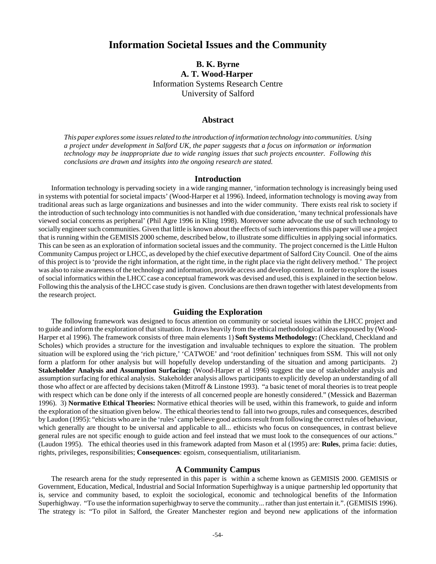# **Information Societal Issues and the Community**

# **B. K. Byrne A. T. Wood-Harper**  Information Systems Research Centre University of Salford

#### **Abstract**

*This paper explores some issues related to the introduction of information technology into communities. Using a project under development in Salford UK, the paper suggests that a focus on information or information technology may be inappropriate due to wide ranging issues that such projects encounter. Following this conclusions are drawn and insights into the ongoing research are stated.* 

#### **Introduction**

Information technology is pervading society in a wide ranging manner, 'information technology is increasingly being used in systems with potential for societal impacts' (Wood-Harper et al 1996). Indeed, information technology is moving away from traditional areas such as large organizations and businesses and into the wider community. There exists real risk to society if the introduction of such technology into communities is not handled with due consideration, 'many technical professionals have viewed social concerns as peripheral' (Phil Agre 1996 in Kling 1998). Moreover some advocate the use of such technology to socially engineer such communities. Given that little is known about the effects of such interventions this paper will use a project that is running within the GEMISIS 2000 scheme, described below, to illustrate some difficulties in applying social informatics. This can be seen as an exploration of information societal issues and the community. The project concerned is the Little Hulton Community Campus project or LHCC, as developed by the chief executive department of Salford City Council. One of the aims of this project is to 'provide the right information, at the right time, in the right place via the right delivery method.' The project was also to raise awareness of the technology and information, provide access and develop content. In order to explore the issues of social informatics within the LHCC case a conceptual framework was devised and used, this is explained in the section below. Following this the analysis of the LHCC case study is given. Conclusions are then drawn together with latest developments from the research project.

#### **Guiding the Exploration**

The following framework was designed to focus attention on community or societal issues within the LHCC project and to guide and inform the exploration of that situation. It draws heavily from the ethical methodological ideas espoused by (Wood-Harper et al 1996). The framework consists of three main elements 1) **Soft Systems Methodology:** (Checkland, Checkland and Scholes) which provides a structure for the investigation and invaluable techniques to explore the situation. The problem situation will be explored using the 'rich picture,' 'CATWOE' and 'root definition' techniques from SSM. This will not only form a platform for other analysis but will hopefully develop understanding of the situation and among participants. 2) **Stakeholder Analysis and Assumption Surfacing:** (Wood-Harper et al 1996) suggest the use of stakeholder analysis and assumption surfacing for ethical analysis. Stakeholder analysis allows participants to explicitly develop an understanding of all those who affect or are affected by decisions taken (Mitroff & Linstone 1993). "a basic tenet of moral theories is to treat people with respect which can be done only if the interests of all concerned people are honestly considered." (Messick and Bazerman 1996). 3) **Normative Ethical Theories:** Normative ethical theories will be used, within this framework, to guide and inform the exploration of the situation given below. The ethical theories tend to fall into two groups, rules and consequences, described by Laudon (1995): "ehicists who are in the 'rules' camp believe good actions result from following the correct rules of behaviour, which generally are thought to be universal and applicable to all... ethicists who focus on consequences, in contrast believe general rules are not specific enough to guide action and feel instead that we must look to the consequences of our actions." (Laudon 1995). The ethical theories used in this framework adapted from Mason et al (1995) are: **Rules**, prima facie: duties, rights, privileges, responsibilities; **Consequences**: egoism, consequentialism, utilitarianism.

#### **A Community Campus**

The research arena for the study represented in this paper is within a scheme known as GEMISIS 2000. GEMISIS or Government, Education, Medical, Industrial and Social Information Superhighway is a unique partnership led opportunity that is, service and community based, to exploit the sociological, economic and technological benefits of the Information Superhighway. "To use the information superhighway to serve the community... rather than just entertain it.". (GEMISIS 1996). The strategy is: "To pilot in Salford, the Greater Manchester region and beyond new applications of the information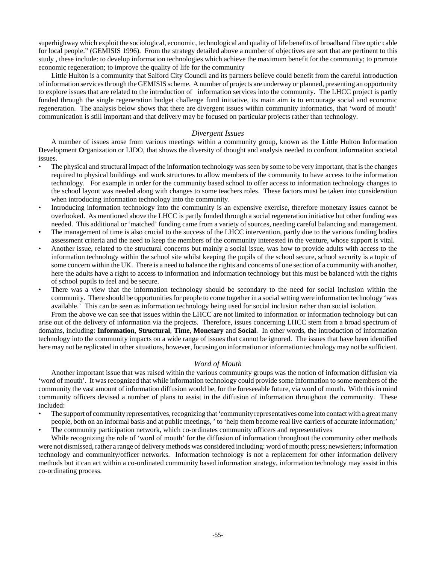superhighway which exploit the sociological, economic, technological and quality of life benefits of broadband fibre optic cable for local people." (GEMISIS 1996). From the strategy detailed above a number of objectives are sort that are pertinent to this study , these include: to develop information technologies which achieve the maximum benefit for the community; to promote economic regeneration; to improve the quality of life for the community

Little Hulton is a community that Salford City Council and its partners believe could benefit from the careful introduction of information services through the GEMISIS scheme. A number of projects are underway or planned, presenting an opportunity to explore issues that are related to the introduction of information services into the community. The LHCC project is partly funded through the single regeneration budget challenge fund initiative, its main aim is to encourage social and economic regeneration. The analysis below shows that there are divergent issues within community informatics, that 'word of mouth' communication is still important and that delivery may be focused on particular projects rather than technology.

### *Divergent Issues*

A number of issues arose from various meetings within a community group, known as the **L**ittle Hulton **I**nformation **D**evelopment **O**rganization or LIDO, that shows the diversity of thought and analysis needed to confront information societal issues.

- The physical and structural impact of the information technology was seen by some to be very important, that is the changes required to physical buildings and work structures to allow members of the community to have access to the information technology. For example in order for the community based school to offer access to information technology changes to the school layout was needed along with changes to some teachers roles. These factors must be taken into consideration when introducing information technology into the community.
- Introducing information technology into the community is an expensive exercise, therefore monetary issues cannot be overlooked. As mentioned above the LHCC is partly funded through a social regeneration initiative but other funding was needed. This additional or 'matched' funding came from a variety of sources, needing careful balancing and management.
- The management of time is also crucial to the success of the LHCC intervention, partly due to the various funding bodies assessment criteria and the need to keep the members of the community interested in the venture, whose support is vital.
- Another issue, related to the structural concerns but mainly a social issue, was how to provide adults with access to the information technology within the school site whilst keeping the pupils of the school secure, school security is a topic of some concern within the UK. There is a need to balance the rights and concerns of one section of a community with another, here the adults have a right to access to information and information technology but this must be balanced with the rights of school pupils to feel and be secure.
- There was a view that the information technology should be secondary to the need for social inclusion within the community. There should be opportunities for people to come together in a social setting were information technology 'was available.' This can be seen as information technology being used for social inclusion rather than social isolation.

From the above we can see that issues within the LHCC are not limited to information or information technology but can arise out of the delivery of information via the projects. Therefore, issues concerning LHCC stem from a broad spectrum of domains, including: **Information**, **Structural**, **Time**, **Monetary** and **Social**. In other words, the introduction of information technology into the community impacts on a wide range of issues that cannot be ignored. The issues that have been identified here may not be replicated in other situations, however, focusing on information or information technology may not be sufficient.

## *Word of Mouth*

Another important issue that was raised within the various community groups was the notion of information diffusion via 'word of mouth'. It was recognized that while information technology could provide some information to some members of the community the vast amount of information diffusion would be, for the foreseeable future, via word of mouth. With this in mind community officers devised a number of plans to assist in the diffusion of information throughout the community. These included:

- The support of community representatives, recognizing that 'community representatives come into contact with a great many people, both on an informal basis and at public meetings, ' to 'help them become real live carriers of accurate information;'
- The community participation network, which co-ordinates community officers and representatives

While recognizing the role of 'word of mouth' for the diffusion of information throughout the community other methods were not dismissed, rather a range of delivery methods was considered including: word of mouth; press; newsletters; information technology and community/officer networks. Information technology is not a replacement for other information delivery methods but it can act within a co-ordinated community based information strategy, information technology may assist in this co-ordinating process.